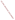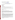# **Technical Factsheet on: MERCURY**

[List of Contaminants](http://www.epa.gov/safewater/hfacts.html) 

 As part of the Drinking Water and Health pages, this fact sheet is part of a larger publication: **National Primary Drinking Water Regulations** 

### **Drinking Water Standards**

MCLG: 0.002 mg/L MCL: 0.002 mg/L HAL(child): none

## **Health Effects Summary**

 above the MCL. No Health Advisories have been established for short-term exposures. Acute: EPA has found mercury to potentially cause kidney damage from short-term exposures at levels

MCL. Chronic: Mercury has the potential to cause kidney damage from long-term exposure at levels above the

 from lifetime exposures in drinking water. Cancer: There is inadequate evidence to state whether or not mercury has the potential to cause cancer

## **Usage Patterns**

Nearly 8 million lbs. of mercury were produced in the U.S. in 1986.

 preparation of chlorine and caustic soda (chlor-alkali industry, mercury cell process; 25%), paint Electrical products such as dry-cell batteries, fluorescent light bulbs, switches, and other control equipment account for 50% of mercury used. Mercury is also used in substantial quantities in electrolytic manufacture (12%), and dental preparations (3%). Lesser quantities are used in industrial catalyst manufacture (2%), pesticides manufacture (1%), general laboratory use (1%), and pharmaceuticals (0.1%).

#### **Release Patterns**

 A joint FAO/WHO expert committee on Food Additives in 1972 quotes the major source of mercury as the metal refining operations, or most notably, from chloralkali plants. In general, industrial and domestic natural degassing of the earth's crust in the range of 25,000-150,000 ton of Hg/yr. Twenty thousand tons of mercury are also released into the environment each year by human activities such as combustion of fossil fuels and other industrial release. Anthropogenic sources of airborne mercury (Hg) may arise from the operation of metal smelters or cement manufacture. Water borne pollution may originate in sewage, products, such as thermometers, batteries, and electrical switches which account for a significant loss of mercury to the environment, ultimately become solid waste in major urban areas.

 direct releases to water occurred in West Virginia and Alabama. From 1987 to 1993, according to EPA's Toxic Chemical Release Inventory, mercury releases to land and water totalled nearly 68,000 lbs., of which 90 percent was to land. These releases were primarily from chemical and allied industries. The largest releases occurred in Tennessee and Louisiana. The largest

#### **Environmental Fate**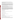environmental toxicant. Its volatility accounts for atmospheric concentrations up to 4 times the level of microbial action in the biosphere. Two characteristics, volatility and biotransformation, make mercury somewhat unique as an contaminated soils in an area. Inorganic forms of mercury (Hg) can be converted to organic forms by

 methyl mercury implies that recycling of mercury from sediment to water to air and back could be a rapid presence of a Pseudomonas strain. Uptake of mercury was severely inhibited by sodium chloride, sodium In aquatic systems, mercury appears to bind to dissolved matter or fine particulates, while the transport of mercury bound to dust particles in the atmosphere or bed sediment particles in rivers and lakes is generally less substantial. The conversion, in aquatic environments, of inorganic mercury compounds to process. In a study of mercury elimination from wastewater, 47% of added mercury was removed in sulfate, and mono- and dibasic potassium phosphate.

 In the atmosphere, 50% of the volatile form is mercury (Hg) vapor with sizeable portion of remainder being Hg(II) and methylmercury, 25 to 50% of Hg in water is organic. Hg in the environment is deposited and revolatilized many times, with a residence time in the atmosphere of at least a few days. In the volatile phase it can be transported hundreds of kilometers.

 approaches steady-state, net accumulation rate is slowed either by a reduction in uptake rate, possibly due to inhibition of membrane transport, or by an increase in depuration rate, possibly because of a in fish even if no new input of mercury occurs, possibly because lower pH increases ventilation rate and Bioconcentration factors of 63,000 for freshwater fish, 10,000 for salt water fish, 100,000 for marine invertebrates, and 1000 for freshwater and marine plants have been found. As the tissue concentration saturation of storage sites, or both. Acidification of a body of water might also increase mercury residues membrane permeability, accelerates the rates of methylation and uptake, affects partitioning between sediment and water, or reduces growth or reproduction of fish.

#### **Chemical/Physical Properties**

CAS Number: 7439-97-6

Color/ Form/Odor: Silver-white, heavy, mobile, liquid metal. Solid mercury is tin-white. Odorless<br>M.P.: -38.87 C B.P.: 356.7 C

Vapor Pressure: 2x10-3 mm Hg at 25 C

Density/Spec. Grav.: 13.5 at 25 C

Density/Spec. Grav.: 13.5 at 25 C<br>Solubility: 0.06 g/L of water at 25 C; Slightly soluble in water

Soil sorption coefficient: N/A

Odor/Taste Thresholds: N/A

Bioconcentration Factor: Bioconcentration factors of 63,000 for freshwater and 10,000 for salt water fishes. BCFs of 100,000 for invertebrates.

Henry's Law Coefficient: N/A; volatilization from water and soil is significant

Synonyms/Ores: Liquid silver, Quicksilver, Hydragyrum, Colloidial mercury. Important commercial ore is cinnabar, but also found in limestone, calcareous shales, sandstone, serpentine, chert andesite and others.